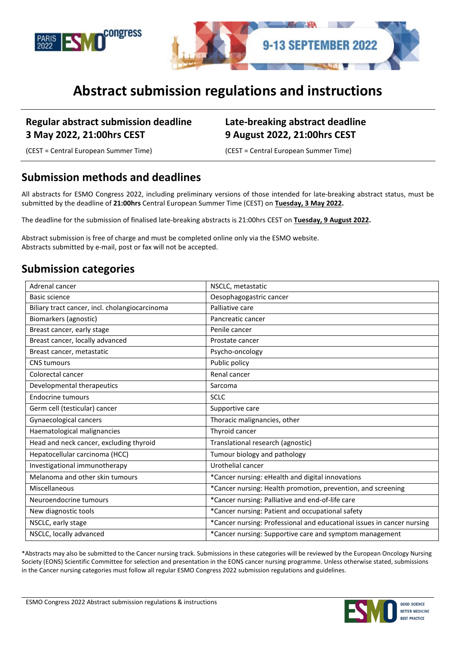



# **Abstract submission regulations and instructions**

#### **Regular abstract submission deadline 3 May 2022, 21:00hrs CEST**

#### **Late-breaking abstract deadline 9 August 2022, 21:00hrs CEST**

(CEST = Central European Summer Time) (CEST = Central European Summer Time)

#### **Submission methods and deadlines**

All abstracts for ESMO Congress 2022, including preliminary versions of those intended for late-breaking abstract status, must be submitted by the deadline of **21:00hrs** Central European Summer Time (CEST) on **Tuesday, 3 May 2022.** 

The deadline for the submission of finalised late-breaking abstracts is 21:00hrs CEST on **Tuesday, 9 August 2022.**

Abstract submission is free of charge and must be completed online only via the ESMO website. Abstracts submitted by e-mail, post or fax will not be accepted.

### **Submission categories**

| Adrenal cancer                                 | NSCLC, metastatic                                                      |
|------------------------------------------------|------------------------------------------------------------------------|
| Basic science                                  | Oesophagogastric cancer                                                |
| Biliary tract cancer, incl. cholangiocarcinoma | Palliative care                                                        |
| Biomarkers (agnostic)                          | Pancreatic cancer                                                      |
| Breast cancer, early stage                     | Penile cancer                                                          |
| Breast cancer, locally advanced                | Prostate cancer                                                        |
| Breast cancer, metastatic                      | Psycho-oncology                                                        |
| <b>CNS</b> tumours                             | Public policy                                                          |
| Colorectal cancer                              | Renal cancer                                                           |
| Developmental therapeutics                     | Sarcoma                                                                |
| <b>Endocrine tumours</b>                       | <b>SCLC</b>                                                            |
| Germ cell (testicular) cancer                  | Supportive care                                                        |
| Gynaecological cancers                         | Thoracic malignancies, other                                           |
| Haematological malignancies                    | Thyroid cancer                                                         |
| Head and neck cancer, excluding thyroid        | Translational research (agnostic)                                      |
| Hepatocellular carcinoma (HCC)                 | Tumour biology and pathology                                           |
| Investigational immunotherapy                  | Urothelial cancer                                                      |
| Melanoma and other skin tumours                | *Cancer nursing: eHealth and digital innovations                       |
| Miscellaneous                                  | *Cancer nursing: Health promotion, prevention, and screening           |
| Neuroendocrine tumours                         | *Cancer nursing: Palliative and end-of-life care                       |
| New diagnostic tools                           | *Cancer nursing: Patient and occupational safety                       |
| NSCLC, early stage                             | *Cancer nursing: Professional and educational issues in cancer nursing |
| NSCLC, locally advanced                        | *Cancer nursing: Supportive care and symptom management                |

\*Abstracts may also be submitted to the Cancer nursing track. Submissions in these categories will be reviewed by the European Oncology Nursing Society (EONS) Scientific Committee for selection and presentation in the EONS cancer nursing programme. Unless otherwise stated, submissions in the Cancer nursing categories must follow all regular ESMO Congress 2022 submission regulations and guidelines.

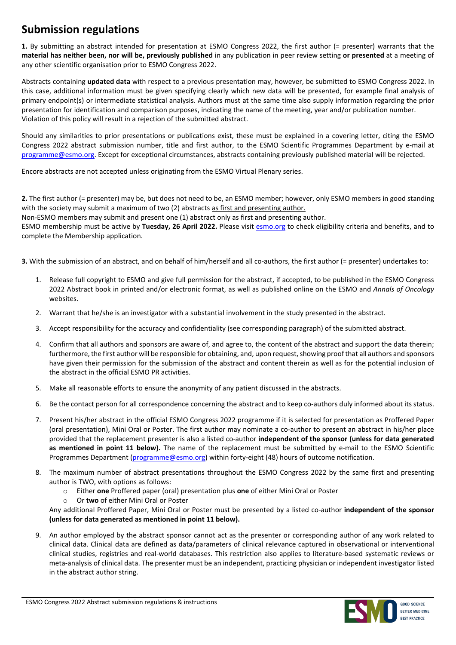### **Submission regulations**

**1.** By submitting an abstract intended for presentation at ESMO Congress 2022, the first author (= presenter) warrants that the **material has neither been, nor will be, previously published** in any publication in peer review setting **or presented** at a meeting of any other scientific organisation prior to ESMO Congress 2022.

Abstracts containing **updated data** with respect to a previous presentation may, however, be submitted to ESMO Congress 2022. In this case, additional information must be given specifying clearly which new data will be presented, for example final analysis of primary endpoint(s) or intermediate statistical analysis. Authors must at the same time also supply information regarding the prior presentation for identification and comparison purposes, indicating the name of the meeting, year and/or publication number. Violation of this policy will result in a rejection of the submitted abstract.

Should any similarities to prior presentations or publications exist, these must be explained in a covering letter, citing the ESMO Congress 2022 abstract submission number, title and first author, to the ESMO Scientific Programmes Department by e-mail at [programme@esmo.org.](mailto:programme@esmo.org) Except for exceptional circumstances, abstracts containing previously published material will be rejected.

Encore abstracts are not accepted unless originating from the ESMO Virtual Plenary series.

**2.** The first author (= presenter) may be, but does not need to be, an ESMO member; however, only ESMO members in good standing with the society may submit a maximum of two (2) abstracts as first and presenting author.

Non-ESMO members may submit and present one (1) abstract only as first and presenting author.

ESMO membership must be active by **Tuesday, 26 April 2022.** Please visit [esmo.org](https://www.esmo.org/membership/join-esmo) to check eligibility criteria and benefits, and to complete the Membership application.

**3.** With the submission of an abstract, and on behalf of him/herself and all co-authors, the first author (= presenter) undertakes to:

- 1. Release full copyright to ESMO and give full permission for the abstract, if accepted, to be published in the ESMO Congress 2022 Abstract book in printed and/or electronic format, as well as published online on the ESMO and *Annals of Oncology* websites.
- 2. Warrant that he/she is an investigator with a substantial involvement in the study presented in the abstract.
- 3. Accept responsibility for the accuracy and confidentiality (see corresponding paragraph) of the submitted abstract.
- 4. Confirm that all authors and sponsors are aware of, and agree to, the content of the abstract and support the data therein; furthermore, the first author will be responsible for obtaining, and, upon request, showing proof that all authors and sponsors have given their permission for the submission of the abstract and content therein as well as for the potential inclusion of the abstract in the official ESMO PR activities.
- 5. Make all reasonable efforts to ensure the anonymity of any patient discussed in the abstracts.
- 6. Be the contact person for all correspondence concerning the abstract and to keep co-authors duly informed about its status.
- 7. Present his/her abstract in the official ESMO Congress 2022 programme if it is selected for presentation as Proffered Paper (oral presentation), Mini Oral or Poster. The first author may nominate a co-author to present an abstract in his/her place provided that the replacement presenter is also a listed co-author **independent of the sponsor (unless for data generated as mentioned in point 11 below).** The name of the replacement must be submitted by e-mail to the ESMO Scientific Programmes Department [\(programme@esmo.org\)](mailto:programme@esmo.org) within forty-eight (48) hours of outcome notification.
- 8. The maximum number of abstract presentations throughout the ESMO Congress 2022 by the same first and presenting author is TWO, with options as follows:
	- o Either **one** Proffered paper (oral) presentation plus **one** of either Mini Oral or Poster
	- o Or **two** of either Mini Oral or Poster

Any additional Proffered Paper, Mini Oral or Poster must be presented by a listed co-author **independent of the sponsor (unless for data generated as mentioned in point 11 below).** 

9. An author employed by the abstract sponsor cannot act as the presenter or corresponding author of any work related to clinical data. Clinical data are defined as data/parameters of clinical relevance captured in observational or interventional clinical studies, registries and real-world databases. This restriction also applies to literature-based systematic reviews or meta-analysis of clinical data. The presenter must be an independent, practicing physician or independent investigator listed in the abstract author string.

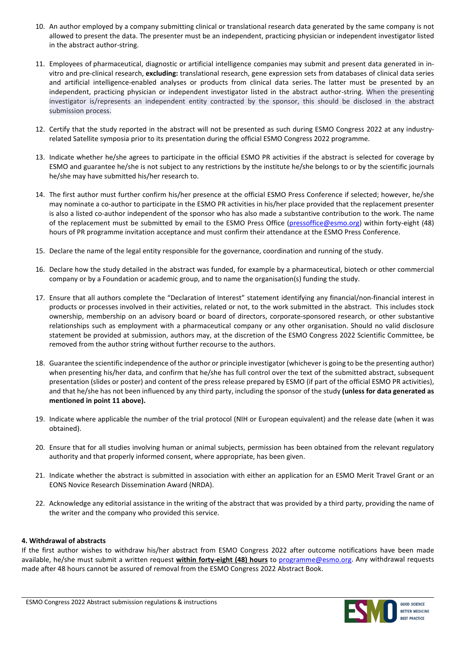- 10. An author employed by a company submitting clinical or translational research data generated by the same company is not allowed to present the data. The presenter must be an independent, practicing physician or independent investigator listed in the abstract author-string.
- 11. Employees of pharmaceutical, diagnostic or artificial intelligence companies may submit and present data generated in invitro and pre-clinical research, **excluding:** translational research, gene expression sets from databases of clinical data series and artificial intelligence-enabled analyses or products from clinical data series. The latter must be presented by an independent, practicing physician or independent investigator listed in the abstract author-string. When the presenting investigator is/represents an independent entity contracted by the sponsor, this should be disclosed in the abstract submission process.
- 12. Certify that the study reported in the abstract will not be presented as such during ESMO Congress 2022 at any industryrelated Satellite symposia prior to its presentation during the official ESMO Congress 2022 programme.
- 13. Indicate whether he/she agrees to participate in the official ESMO PR activities if the abstract is selected for coverage by ESMO and guarantee he/she is not subject to any restrictions by the institute he/she belongs to or by the scientific journals he/she may have submitted his/her research to.
- 14. The first author must further confirm his/her presence at the official ESMO Press Conference if selected; however, he/she may nominate a co-author to participate in the ESMO PR activities in his/her place provided that the replacement presenter is also a listed co-author independent of the sponsor who has also made a substantive contribution to the work. The name of the replacement must be submitted by email to the ESMO Press Office [\(pressoffice@esmo.org\)](mailto:pressoffice@esmo.org) within forty-eight (48) hours of PR programme invitation acceptance and must confirm their attendance at the ESMO Press Conference.
- 15. Declare the name of the legal entity responsible for the governance, coordination and running of the study.
- 16. Declare how the study detailed in the abstract was funded, for example by a pharmaceutical, biotech or other commercial company or by a Foundation or academic group, and to name the organisation(s) funding the study.
- 17. Ensure that all authors complete the "Declaration of Interest" statement identifying any financial/non-financial interest in products or processes involved in their activities, related or not, to the work submitted in the abstract. This includes stock ownership, membership on an advisory board or board of directors, corporate-sponsored research, or other substantive relationships such as employment with a pharmaceutical company or any other organisation. Should no valid disclosure statement be provided at submission, authors may, at the discretion of the ESMO Congress 2022 Scientific Committee, be removed from the author string without further recourse to the authors.
- 18. Guarantee the scientific independence of the author or principle investigator (whichever is going to be the presenting author) when presenting his/her data, and confirm that he/she has full control over the text of the submitted abstract, subsequent presentation (slides or poster) and content of the press release prepared by ESMO (if part of the official ESMO PR activities), and that he/she has not been influenced by any third party, including the sponsor of the study **(unless for data generated as mentioned in point 11 above).**
- 19. Indicate where applicable the number of the trial protocol (NIH or European equivalent) and the release date (when it was obtained).
- 20. Ensure that for all studies involving human or animal subjects, permission has been obtained from the relevant regulatory authority and that properly informed consent, where appropriate, has been given.
- 21. Indicate whether the abstract is submitted in association with either an application for an ESMO Merit Travel Grant or an EONS Novice Research Dissemination Award (NRDA).
- 22. Acknowledge any editorial assistance in the writing of the abstract that was provided by a third party, providing the name of the writer and the company who provided this service.

#### **4. Withdrawal of abstracts**

If the first author wishes to withdraw his/her abstract from ESMO Congress 2022 after outcome notifications have been made available, he/she must submit a written request **within forty-eight (48) hours** to [programme@esmo.org.](mailto:programme@esmo.org) Any withdrawal requests made after 48 hours cannot be assured of removal from the ESMO Congress 2022 Abstract Book.

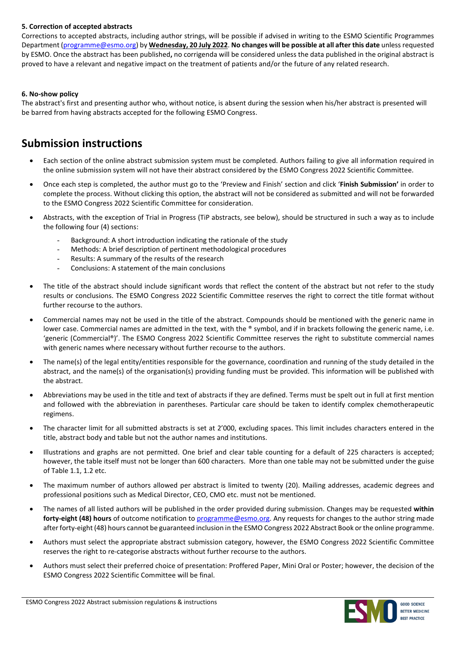#### **5. Correction of accepted abstracts**

Corrections to accepted abstracts, including author strings, will be possible if advised in writing to the ESMO Scientific Programmes Department [\(programme@esmo.org\)](mailto:programme@esmo.org) by **Wednesday, 20 July 2022**. **No changes will be possible at all after this date** unless requested by ESMO. Once the abstract has been published**,** no corrigenda will be considered unless the data published in the original abstract is proved to have a relevant and negative impact on the treatment of patients and/or the future of any related research.

#### **6. No-show policy**

The abstract's first and presenting author who, without notice, is absent during the session when his/her abstract is presented will be barred from having abstracts accepted for the following ESMO Congress.

#### **Submission instructions**

- Each section of the online abstract submission system must be completed. Authors failing to give all information required in the online submission system will not have their abstract considered by the ESMO Congress 2022 Scientific Committee.
- Once each step is completed, the author must go to the 'Preview and Finish' section and click '**Finish Submission'** in order to complete the process. Without clicking this option, the abstract will not be considered as submitted and will not be forwarded to the ESMO Congress 2022 Scientific Committee for consideration.
- Abstracts, with the exception of Trial in Progress (TiP abstracts, see below), should be structured in such a way as to include the following four (4) sections:
	- Background: A short introduction indicating the rationale of the study
	- Methods: A brief description of pertinent methodological procedures
	- Results: A summary of the results of the research
	- Conclusions: A statement of the main conclusions
- The title of the abstract should include significant words that reflect the content of the abstract but not refer to the study results or conclusions. The ESMO Congress 2022 Scientific Committee reserves the right to correct the title format without further recourse to the authors.
- Commercial names may not be used in the title of the abstract. Compounds should be mentioned with the generic name in lower case. Commercial names are admitted in the text, with the ® symbol, and if in brackets following the generic name, i.e. 'generic (Commercial®)'. The ESMO Congress 2022 Scientific Committee reserves the right to substitute commercial names with generic names where necessary without further recourse to the authors.
- The name(s) of the legal entity/entities responsible for the governance, coordination and running of the study detailed in the abstract, and the name(s) of the organisation(s) providing funding must be provided. This information will be published with the abstract.
- Abbreviations may be used in the title and text of abstracts if they are defined. Terms must be spelt out in full at first mention and followed with the abbreviation in parentheses. Particular care should be taken to identify complex chemotherapeutic regimens.
- The character limit for all submitted abstracts is set at 2'000, excluding spaces. This limit includes characters entered in the title, abstract body and table but not the author names and institutions.
- Illustrations and graphs are not permitted. One brief and clear table counting for a default of 225 characters is accepted; however, the table itself must not be longer than 600 characters. More than one table may not be submitted under the guise of Table 1.1, 1.2 etc.
- The maximum number of authors allowed per abstract is limited to twenty (20). Mailing addresses, academic degrees and professional positions such as Medical Director, CEO, CMO etc. must not be mentioned.
- The names of all listed authors will be published in the order provided during submission. Changes may be requested **within forty-eight (48) hours** of outcome notification to [programme@esmo.org.](mailto:programme@esmo.org) Any requests for changes to the author string made after forty-eight (48) hours cannot be guaranteed inclusion in the ESMO Congress 2022 Abstract Book or the online programme.
- Authors must select the appropriate abstract submission category, however, the ESMO Congress 2022 Scientific Committee reserves the right to re-categorise abstracts without further recourse to the authors.
- Authors must select their preferred choice of presentation: Proffered Paper, Mini Oral or Poster; however, the decision of the ESMO Congress 2022 Scientific Committee will be final.

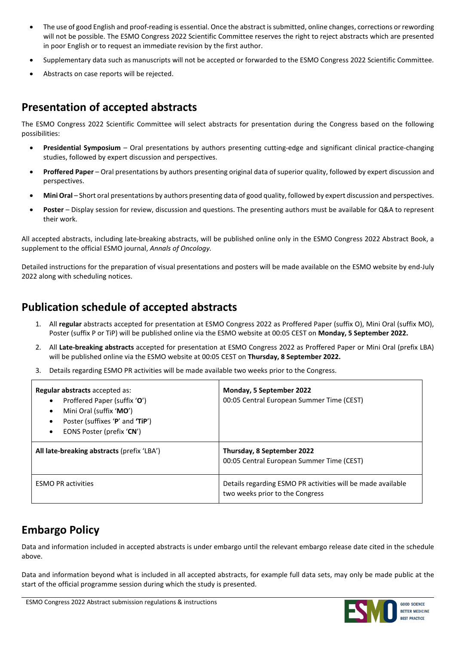- The use of good English and proof-reading is essential. Once the abstract is submitted, online changes, corrections or rewording will not be possible. The ESMO Congress 2022 Scientific Committee reserves the right to reject abstracts which are presented in poor English or to request an immediate revision by the first author.
- Supplementary data such as manuscripts will not be accepted or forwarded to the ESMO Congress 2022 Scientific Committee.
- Abstracts on case reports will be rejected.

### **Presentation of accepted abstracts**

The ESMO Congress 2022 Scientific Committee will select abstracts for presentation during the Congress based on the following possibilities:

- **Presidential Symposium** Oral presentations by authors presenting cutting-edge and significant clinical practice-changing studies, followed by expert discussion and perspectives.
- **Proffered Paper** Oral presentations by authors presenting original data of superior quality, followed by expert discussion and perspectives.
- **Mini Oral** Short oral presentations by authors presenting data of good quality, followed by expert discussion and perspectives.
- **Poster** Display session for review, discussion and questions. The presenting authors must be available for Q&A to represent their work.

All accepted abstracts, including late-breaking abstracts, will be published online only in the ESMO Congress 2022 Abstract Book, a supplement to the official ESMO journal, *Annals of Oncology.*

Detailed instructions for the preparation of visual presentations and posters will be made available on the ESMO website by end-July 2022 along with scheduling notices.

## **Publication schedule of accepted abstracts**

- 1. All **regular** abstracts accepted for presentation at ESMO Congress 2022 as Proffered Paper (suffix O), Mini Oral (suffix MO), Poster (suffix P or TiP) will be published online via the ESMO website at 00:05 CEST on **Monday, 5 September 2022.**
- 2. All **Late-breaking abstracts** accepted for presentation at ESMO Congress 2022 as Proffered Paper or Mini Oral (prefix LBA) will be published online via the ESMO website at 00:05 CEST on **Thursday, 8 September 2022.**
- 3. Details regarding ESMO PR activities will be made available two weeks prior to the Congress.

| <b>Regular abstracts</b> accepted as:<br>Proffered Paper (suffix 'O')<br>$\bullet$<br>Mini Oral (suffix 'MO')<br>٠<br>Poster (suffixes 'P' and 'TiP')<br>EONS Poster (prefix 'CN')<br>$\bullet$ | Monday, 5 September 2022<br>00:05 Central European Summer Time (CEST)                          |
|-------------------------------------------------------------------------------------------------------------------------------------------------------------------------------------------------|------------------------------------------------------------------------------------------------|
| All late-breaking abstracts (prefix 'LBA')                                                                                                                                                      | Thursday, 8 September 2022<br>00:05 Central European Summer Time (CEST)                        |
| <b>ESMO PR activities</b>                                                                                                                                                                       | Details regarding ESMO PR activities will be made available<br>two weeks prior to the Congress |

### **Embargo Policy**

Data and information included in accepted abstracts is under embargo until the relevant embargo release date cited in the schedule above.

Data and information beyond what is included in all accepted abstracts, for example full data sets, may only be made public at the start of the official programme session during which the study is presented.

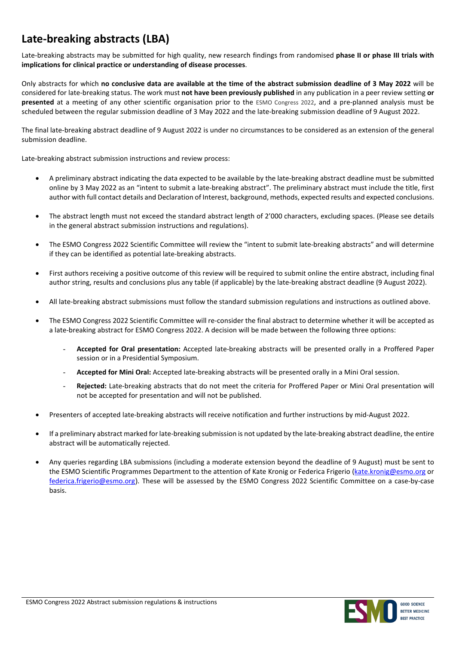## **Late-breaking abstracts (LBA)**

Late-breaking abstracts may be submitted for high quality, new research findings from randomised **phase II or phase III trials with implications for clinical practice or understanding of disease processes**.

Only abstracts for which **no conclusive data are available at the time of the abstract submission deadline of 3 May 2022** will be considered for late-breaking status. The work must **not have been previously published** in any publication in a peer review setting **or presented** at a meeting of any other scientific organisation prior to the ESMO Congress 2022, and a pre-planned analysis must be scheduled between the regular submission deadline of 3 May 2022 and the late-breaking submission deadline of 9 August 2022.

The final late-breaking abstract deadline of 9 August 2022 is under no circumstances to be considered as an extension of the general submission deadline.

Late-breaking abstract submission instructions and review process:

- A preliminary abstract indicating the data expected to be available by the late-breaking abstract deadline must be submitted online by 3 May 2022 as an "intent to submit a late-breaking abstract". The preliminary abstract must include the title, first author with full contact details and Declaration of Interest, background, methods, expected results and expected conclusions.
- The abstract length must not exceed the standard abstract length of 2'000 characters, excluding spaces. (Please see details in the general abstract submission instructions and regulations).
- The ESMO Congress 2022 Scientific Committee will review the "intent to submit late-breaking abstracts" and will determine if they can be identified as potential late-breaking abstracts.
- First authors receiving a positive outcome of this review will be required to submit online the entire abstract, including final author string, results and conclusions plus any table (if applicable) by the late-breaking abstract deadline (9 August 2022).
- All late-breaking abstract submissions must follow the standard submission regulations and instructions as outlined above.
- The ESMO Congress 2022 Scientific Committee will re-consider the final abstract to determine whether it will be accepted as a late-breaking abstract for ESMO Congress 2022. A decision will be made between the following three options:
	- **Accepted for Oral presentation:** Accepted late-breaking abstracts will be presented orally in a Proffered Paper session or in a Presidential Symposium.
	- **Accepted for Mini Oral:** Accepted late-breaking abstracts will be presented orally in a Mini Oral session.
	- **Rejected:** Late-breaking abstracts that do not meet the criteria for Proffered Paper or Mini Oral presentation will not be accepted for presentation and will not be published.
- Presenters of accepted late-breaking abstracts will receive notification and further instructions by mid-August 2022.
- If a preliminary abstract marked for late-breaking submission is not updated by the late-breaking abstract deadline, the entire abstract will be automatically rejected.
- Any queries regarding LBA submissions (including a moderate extension beyond the deadline of 9 August) must be sent to the ESMO Scientific Programmes Department to the attention of Kate Kronig or Federica Frigerio [\(kate.kronig@esmo.org](https://esmo365.sharepoint.com/sites/ESMOCCNG/InternalDocuments/2021/Abstracts/Regulations/kate.kronig@esmo.org) or [federica.frigerio@esmo.org](mailto:federica.frigerio@esmo.org)). These will be assessed by the ESMO Congress 2022 Scientific Committee on a case-by-case basis.

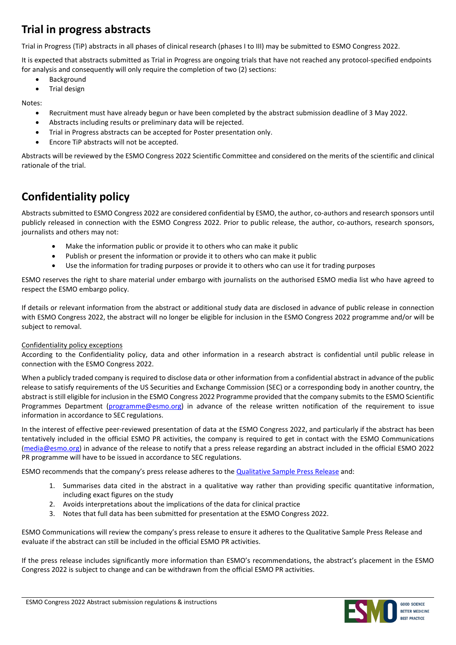### **Trial in progress abstracts**

Trial in Progress (TiP) abstracts in all phases of clinical research (phases I to III) may be submitted to ESMO Congress 2022.

It is expected that abstracts submitted as Trial in Progress are ongoing trials that have not reached any protocol-specified endpoints for analysis and consequently will only require the completion of two (2) sections:

- Background
- Trial design

Notes:

- Recruitment must have already begun or have been completed by the abstract submission deadline of 3 May 2022.
- Abstracts including results or preliminary data will be rejected.
- Trial in Progress abstracts can be accepted for Poster presentation only.
- Encore TiP abstracts will not be accepted.

Abstracts will be reviewed by the ESMO Congress 2022 Scientific Committee and considered on the merits of the scientific and clinical rationale of the trial.

## **Confidentiality policy**

Abstracts submitted to ESMO Congress 2022 are considered confidential by ESMO, the author, co-authors and research sponsors until publicly released in connection with the ESMO Congress 2022. Prior to public release, the author, co-authors, research sponsors, journalists and others may not:

- Make the information public or provide it to others who can make it public
- Publish or present the information or provide it to others who can make it public
- Use the information for trading purposes or provide it to others who can use it for trading purposes

ESMO reserves the right to share material under embargo with journalists on the authorised ESMO media list who have agreed to respect the ESMO embargo policy.

If details or relevant information from the abstract or additional study data are disclosed in advance of public release in connection with ESMO Congress 2022, the abstract will no longer be eligible for inclusion in the ESMO Congress 2022 programme and/or will be subject to removal.

#### Confidentiality policy exceptions

According to the Confidentiality policy, data and other information in a research abstract is confidential until public release in connection with the ESMO Congress 2022.

When a publicly traded company is required to disclose data or other information from a confidential abstract in advance of the public release to satisfy requirements of the US Securities and Exchange Commission (SEC) or a corresponding body in another country, the abstract is still eligible for inclusion in the ESMO Congress 2022 Programme provided that the company submits to the ESMO Scientific Programmes Department [\(programme@esmo.org\)](https://esmo365.sharepoint.com/sites/ESMOCCNG/InternalDocuments/2021/Abstracts/Regulations/programme@esmo.org) in advance of the release written notification of the requirement to issue information in accordance to SEC regulations.

In the interest of effective peer-reviewed presentation of data at the ESMO Congress 2022, and particularly if the abstract has been tentatively included in the official ESMO PR activities, the company is required to get in contact with the ESMO Communications [\(media@esmo.org\)](mailto:media@esmo.org) in advance of the release to notify that a press release regarding an abstract included in the official ESMO 2022 PR programme will have to be issued in accordance to SEC regulations.

ESMO recommends that the company's press release adheres to the [Qualitative Sample Press Release](https://www.esmo.org/content/download/102920/1817543/file/Sample_QualitativePR.pdf) and:

- 1. Summarises data cited in the abstract in a qualitative way rather than providing specific quantitative information, including exact figures on the study
- 2. Avoids interpretations about the implications of the data for clinical practice
- 3. Notes that full data has been submitted for presentation at the ESMO Congress 2022.

ESMO Communications will review the company's press release to ensure it adheres to the Qualitative Sample Press Release and evaluate if the abstract can still be included in the official ESMO PR activities.

If the press release includes significantly more information than ESMO's recommendations, the abstract's placement in the ESMO Congress 2022 is subject to change and can be withdrawn from the official ESMO PR activities.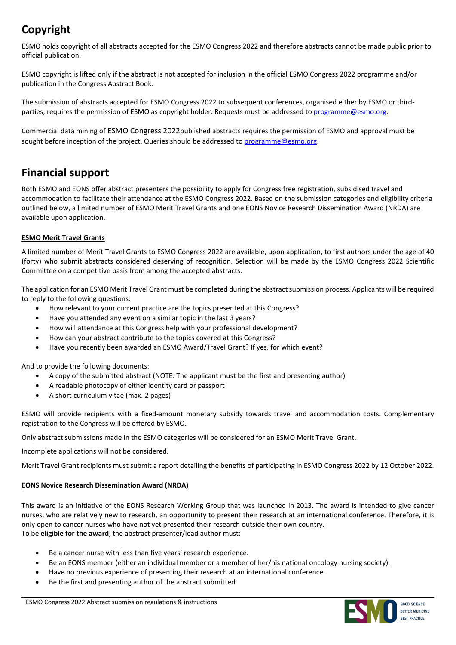## **Copyright**

ESMO holds copyright of all abstracts accepted for the ESMO Congress 2022 and therefore abstracts cannot be made public prior to official publication.

ESMO copyright is lifted only if the abstract is not accepted for inclusion in the official ESMO Congress 2022 programme and/or publication in the Congress Abstract Book.

The submission of abstracts accepted for ESMO Congress 2022 to subsequent conferences, organised either by ESMO or thirdparties, requires the permission of ESMO as copyright holder. Requests must be addressed to [programme@esmo.org.](https://esmo365.sharepoint.com/sites/ESMOCCNG/InternalDocuments/2021/Abstracts/Regulations/programme@esmo.org)

Commercial data mining of ESMO Congress 2022published abstracts requires the permission of ESMO and approval must be sought before inception of the project. Queries should be addressed to [programme@esmo.org.](https://esmo365.sharepoint.com/sites/ESMOCCNG/InternalDocuments/2021/Abstracts/Regulations/programme@esmo.org)

### **Financial support**

Both ESMO and EONS offer abstract presenters the possibility to apply for Congress free registration, subsidised travel and accommodation to facilitate their attendance at the ESMO Congress 2022. Based on the submission categories and eligibility criteria outlined below, a limited number of ESMO Merit Travel Grants and one EONS Novice Research Dissemination Award (NRDA) are available upon application.

#### **ESMO Merit Travel Grants**

A limited number of Merit Travel Grants to ESMO Congress 2022 are available, upon application, to first authors under the age of 40 (forty) who submit abstracts considered deserving of recognition. Selection will be made by the ESMO Congress 2022 Scientific Committee on a competitive basis from among the accepted abstracts.

The application for an ESMO Merit Travel Grant must be completed during the abstract submission process. Applicants will be required to reply to the following questions:

- How relevant to your current practice are the topics presented at this Congress?
- Have you attended any event on a similar topic in the last 3 years?
- How will attendance at this Congress help with your professional development?
- How can your abstract contribute to the topics covered at this Congress?
- Have you recently been awarded an ESMO Award/Travel Grant? If yes, for which event?

And to provide the following documents:

- A copy of the submitted abstract (NOTE: The applicant must be the first and presenting author)
- A readable photocopy of either identity card or passport
- A short curriculum vitae (max. 2 pages)

ESMO will provide recipients with a fixed-amount monetary subsidy towards travel and accommodation costs. Complementary registration to the Congress will be offered by ESMO.

Only abstract submissions made in the ESMO categories will be considered for an ESMO Merit Travel Grant.

Incomplete applications will not be considered.

Merit Travel Grant recipients must submit a report detailing the benefits of participating in ESMO Congress 2022 by 12 October 2022.

#### **EONS Novice Research Dissemination Award (NRDA)**

This award is an initiative of the EONS Research Working Group that was launched in 2013. The award is intended to give cancer nurses, who are relatively new to research, an opportunity to present their research at an international conference. Therefore, it is only open to cancer nurses who have not yet presented their research outside their own country. To be **eligible for the award**, the abstract presenter/lead author must:

- Be a cancer nurse with less than five years' research experience.
- Be an EONS member (either an individual member or a member of her/his national oncology nursing society).
- Have no previous experience of presenting their research at an international conference.
- Be the first and presenting author of the abstract submitted.